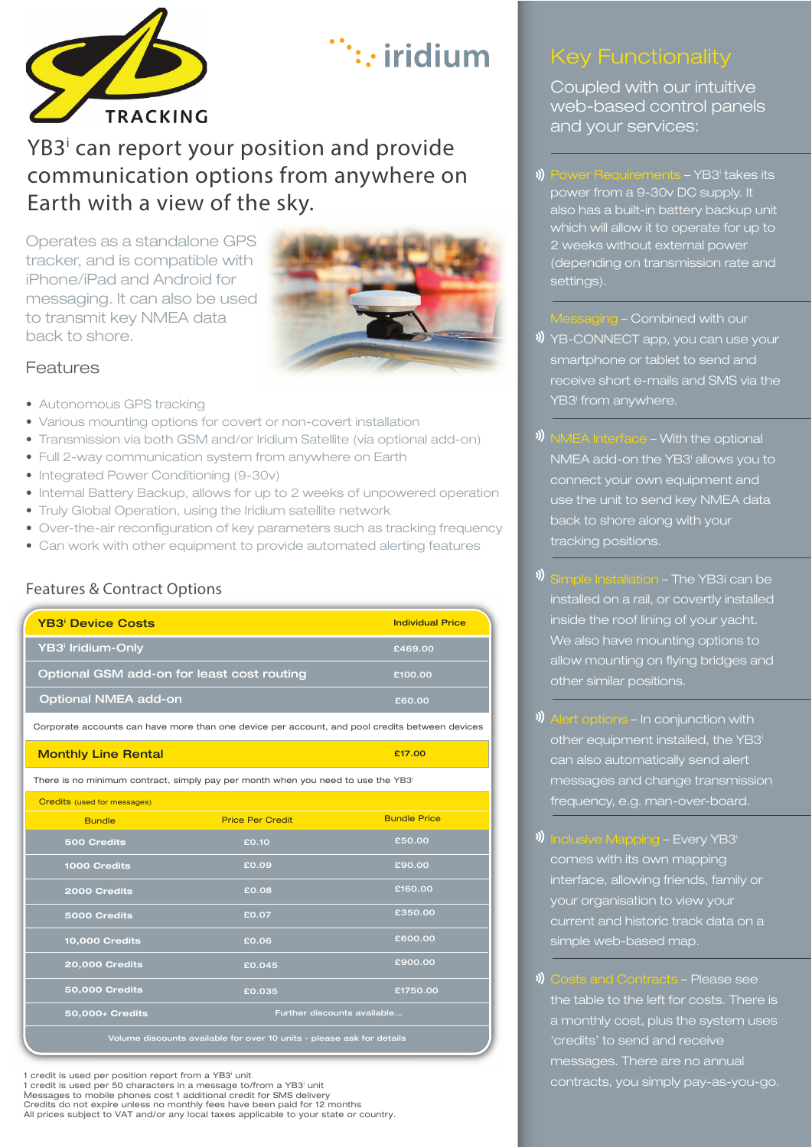

# $\therefore$  iridium

# YB3<sup>i</sup> can report your position and provide communication options from anywhere on Earth with a view of the sky.

Operates as a standalone GPS tracker, and is compatible with iPhone/iPad and Android for messaging. It can also be used to transmit key NMEA data back to shore.



£17.00

#### Features

- Autonomous GPS tracking
- Various mounting options for covert or non-covert installation
- Transmission via both GSM and/or Iridium Satellite (via optional add-on)
- Full 2-way communication system from anywhere on Earth
- Integrated Power Conditioning (9-30v)
- Internal Battery Backup, allows for up to 2 weeks of unpowered operation
- Truly Global Operation, using the Iridium satellite network
- Over-the-air reconfiguration of key parameters such as tracking frequency
- Can work with other equipment to provide automated alerting features

#### Features & Contract Options

| YB3 <sup>i</sup> Iridium-Only<br>£469.00              |  |
|-------------------------------------------------------|--|
|                                                       |  |
| Optional GSM add-on for least cost routing<br>£100.00 |  |
| Optional NMEA add-on<br>£60.00                        |  |

Corporate accounts can have more than one device per account, and pool credits between devices

#### Monthly Line Rental

There is no minimum contract, simply pay per month when you need to use the YB3i

| Credits (used for messages)                                           |                         |                             |  |  |
|-----------------------------------------------------------------------|-------------------------|-----------------------------|--|--|
| <b>Bundle</b>                                                         | <b>Price Per Credit</b> | <b>Bundle Price</b>         |  |  |
| 500 Credits                                                           | £0.10                   | £50.00                      |  |  |
| 1000 Credits                                                          | £0.09                   | £90.00                      |  |  |
| 2000 Credits                                                          | £0.08                   | £160.00                     |  |  |
| 5000 Credits                                                          | £0.07                   | £350.00                     |  |  |
| <b>10,000 Credits</b>                                                 | £0.06                   | £600.00                     |  |  |
| <b>20,000 Credits</b>                                                 | £0.045                  | £900.00                     |  |  |
| <b>50,000 Credits</b>                                                 | £0.035                  | £1750.00                    |  |  |
| 50,000+ Credits                                                       |                         | Further discounts available |  |  |
| Volume discounts available for over 10 units - please ask for details |                         |                             |  |  |

1 credit is used per position report from a YB3<sup>i</sup> unit 1 credit is used per 50 characters in a message to/from a YB3<sup>i</sup> unit Messages to mobile phones cost 1 additional credit for SMS delivery<br>Credits do not expire unless no monthly fees have been paid for 12 months<br>All prices subject to VAT and/or any local taxes applicable to your state or cou .

Coupled with our intuitive web-based control panels and your services:

- )) Power Requirements - YB3<sup>i</sup> takes its power from a 9-30v DC supply. It also has a built-in battery backup unit which will allow it to operate for up to 2 weeks without external power (depending on transmission rate and settings).
	- Combined with our
- **)** YB-CONNECT app, you can use your smartphone or tablet to send and receive short e-mails and SMS via the YB3<sup>i</sup> from anywhere.
- )) - With the optional NMEA add-on the YB3<sup>i</sup> allows you to connect your own equipment and use the unit to send key NMEA data back to shore along with your tracking positions.
- )) - The YB3i can be installed on a rail, or covertly installed inside the roof lining of your yacht. We also have mounting options to allow mounting on flying bridges and other similar positions.
- )) - In conjunction with other equipment installed, the YB3<sup>i</sup> can also automatically send alert messages and change transmission frequency, e.g. man-over-board.
- )) - Every YB3i comes with its own mapping interface, allowing friends, family or your organisation to view your current and historic track data on a simple web-based map.
- )) - Please see the table to the left for costs. There is a monthly cost, plus the system uses 'credits' to send and receive messages. There are no annual contracts, you simply pay-as-you-go.